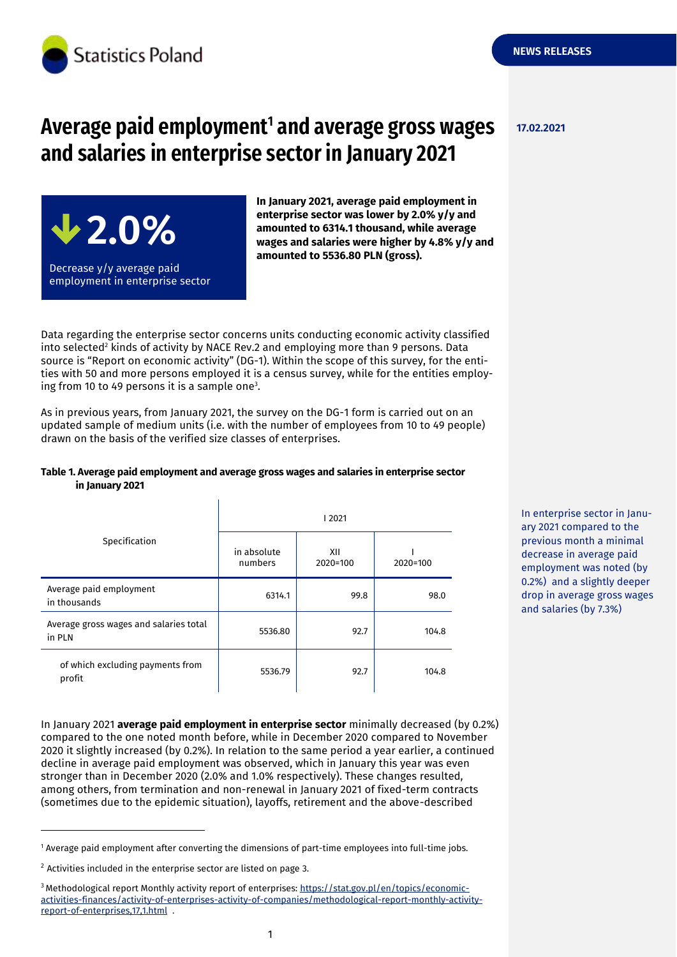

# **Average paid employment<sup>1</sup> and average gross wages and salaries in enterprise sector in January 2021**



**In January 2021, average paid employment in enterprise sector was lower by 2.0% y/y and amounted to 6314.1 thousand, while average wages and salaries were higher by 4.8% y/y and amounted to 5536.80 PLN (gross).**

Data regarding the enterprise sector concerns units conducting economic activity classified into selected<sup>2</sup> kinds of activity by NACE Rev.2 and employing more than 9 persons. Data source is "Report on economic activity" (DG-1). Within the scope of this survey, for the entities with 50 and more persons employed it is a census survey, while for the entities employing from 10 to 49 persons it is a sample one<sup>3</sup>.

As in previous years, from January 2021, the survey on the DG-1 form is carried out on an updated sample of medium units (i.e. with the number of employees from 10 to 49 people) drawn on the basis of the verified size classes of enterprises.

### **Table 1. Average paid employment and average gross wages and salaries in enterprise sector in January 2021**

| Specification                                    | 2021                   |                 |          |
|--------------------------------------------------|------------------------|-----------------|----------|
|                                                  | in absolute<br>numbers | XII<br>2020=100 | 2020=100 |
| Average paid employment<br>in thousands          | 6314.1                 | 99.8            | 98.0     |
| Average gross wages and salaries total<br>in PLN | 5536.80                | 92.7            | 104.8    |
| of which excluding payments from<br>profit       | 5536.79                | 92.7            | 104.8    |

In January 2021 **average paid employment in enterprise sector** minimally decreased (by 0.2%) compared to the one noted month before, while in December 2020 compared to November 2020 it slightly increased (by 0.2%). In relation to the same period a year earlier, a continued decline in average paid employment was observed, which in January this year was even stronger than in December 2020 (2.0% and 1.0% respectively). These changes resulted, among others, from termination and non-renewal in January 2021 of fixed-term contracts (sometimes due to the epidemic situation), layoffs, retirement and the above-described

<sup>1</sup> Average paid employment after converting the dimensions of part-time employees into full-time jobs.

-

In enterprise sector in January 2021 compared to the previous month a minimal decrease in average paid employment was noted (by 0.2%) and a slightly deeper drop in average gross wages and salaries (by 7.3%)

**NEWS RELEASES**

 $2$  Activities included in the enterprise sector are listed on page 3.

<sup>&</sup>lt;sup>3</sup> Methodological report Monthly activity report of enterprises: [https://stat.gov.pl/en/topics/economic](https://stat.gov.pl/en/topics/economic-activities-finances/activity-of-enterprises-activity-of-companies/methodological-report-monthly-activity-report-of-enterprises,17,1.html)[activities-finances/activity-of-enterprises-activity-of-companies/methodological-report-monthly-activity](https://stat.gov.pl/en/topics/economic-activities-finances/activity-of-enterprises-activity-of-companies/methodological-report-monthly-activity-report-of-enterprises,17,1.html)[report-of-enterprises,17,1.html](https://stat.gov.pl/en/topics/economic-activities-finances/activity-of-enterprises-activity-of-companies/methodological-report-monthly-activity-report-of-enterprises,17,1.html) .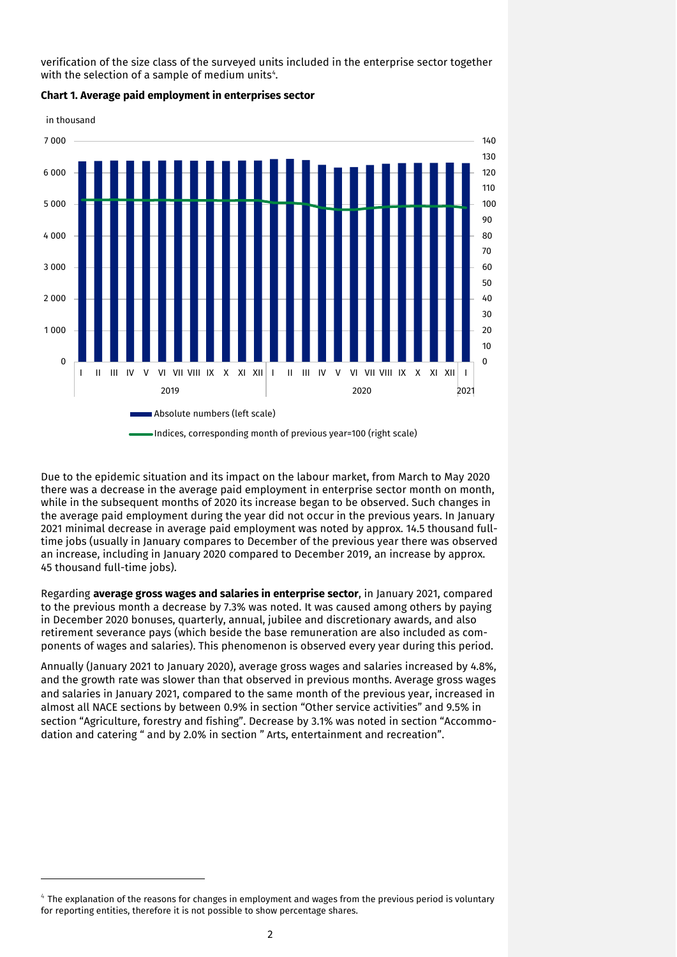verification of the size class of the surveyed units included in the enterprise sector together with the selection of a sample of medium units $^{\circ}\!.$ 



**Chart 1. Average paid employment in enterprises sector**

Due to the epidemic situation and its impact on the labour market, from March to May 2020 there was a decrease in the average paid employment in enterprise sector month on month, while in the subsequent months of 2020 its increase began to be observed. Such changes in the average paid employment during the year did not occur in the previous years. In January 2021 minimal decrease in average paid employment was noted by approx. 14.5 thousand fulltime jobs (usually in January compares to December of the previous year there was observed an increase, including in January 2020 compared to December 2019, an increase by approx. 45 thousand full-time jobs).

Regarding **average gross wages and salaries in enterprise sector**, in January 2021, compared to the previous month a decrease by 7.3% was noted. It was caused among others by paying in December 2020 bonuses, quarterly, annual, jubilee and discretionary awards, and also retirement severance pays (which beside the base remuneration are also included as components of wages and salaries). This phenomenon is observed every year during this period.

Annually (January 2021 to January 2020), average gross wages and salaries increased by 4.8%, and the growth rate was slower than that observed in previous months. Average gross wages and salaries in January 2021, compared to the same month of the previous year, increased in almost all NACE sections by between 0.9% in section "Other service activities" and 9.5% in section "Agriculture, forestry and fishing". Decrease by 3.1% was noted in section "Accommodation and catering " and by 2.0% in section " Arts, entertainment and recreation".

-

 $\rm ^4$  The explanation of the reasons for changes in employment and wages from the previous period is voluntary for reporting entities, therefore it is not possible to show percentage shares.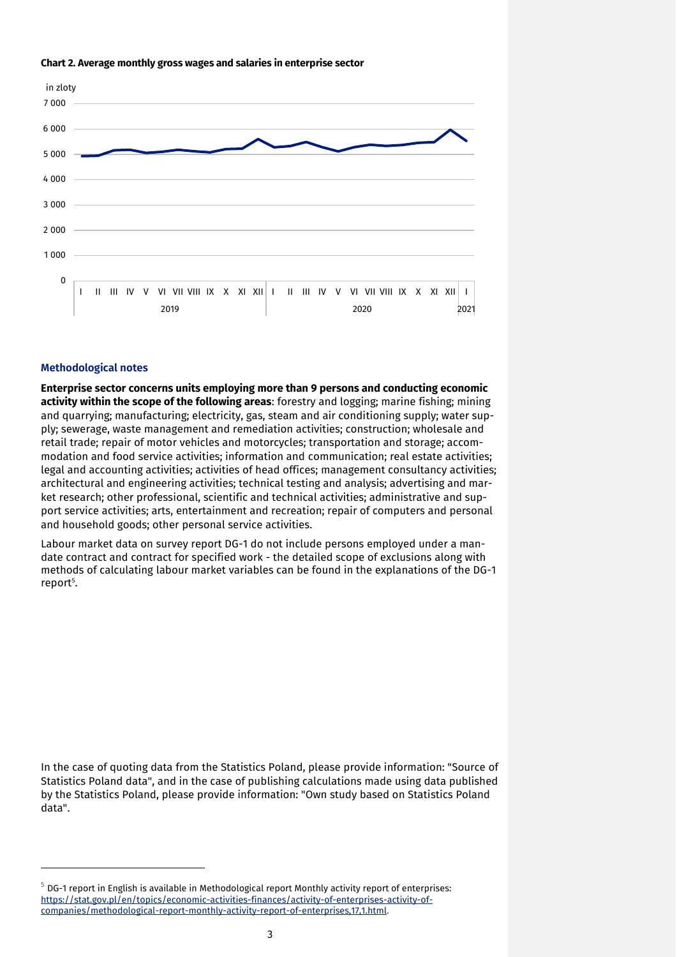#### **Chart 2. Average monthly gross wages and salaries in enterprise sector**



### **Methodological notes**

-

**Enterprise sector concerns units employing more than 9 persons and conducting economic activity within the scope of the following areas**: forestry and logging; marine fishing; mining and quarrying; manufacturing; electricity, gas, steam and air conditioning supply; water supply; sewerage, waste management and remediation activities; construction; wholesale and retail trade; repair of motor vehicles and motorcycles; transportation and storage; accommodation and food service activities; information and communication; real estate activities; legal and accounting activities; activities of head offices; management consultancy activities; architectural and engineering activities; technical testing and analysis; advertising and market research; other professional, scientific and technical activities; administrative and support service activities; arts, entertainment and recreation; repair of computers and personal and household goods; other personal service activities.

Labour market data on survey report DG-1 do not include persons employed under a mandate contract and contract for specified work - the detailed scope of exclusions along with methods of calculating labour market variables can be found in the explanations of the DG-1 report<sup>5</sup>.

In the case of quoting data from the Statistics Poland, please provide information: "Source of Statistics Poland data", and in the case of publishing calculations made using data published by the Statistics Poland, please provide information: "Own study based on Statistics Poland data".

 $5$  DG-1 report in English is available in Methodological report Monthly activity report of enterprises: [https://stat.gov.pl/en/topics/economic-activities-finances/activity-of-enterprises-activity-of](https://stat.gov.pl/en/topics/economic-activities-finances/activity-of-enterprises-activity-of-companies/methodological-report-monthly-activity-report-of-enterprises,17,1.html)[companies/methodological-report-monthly-activity-report-of-enterprises,17,1.html.](https://stat.gov.pl/en/topics/economic-activities-finances/activity-of-enterprises-activity-of-companies/methodological-report-monthly-activity-report-of-enterprises,17,1.html)